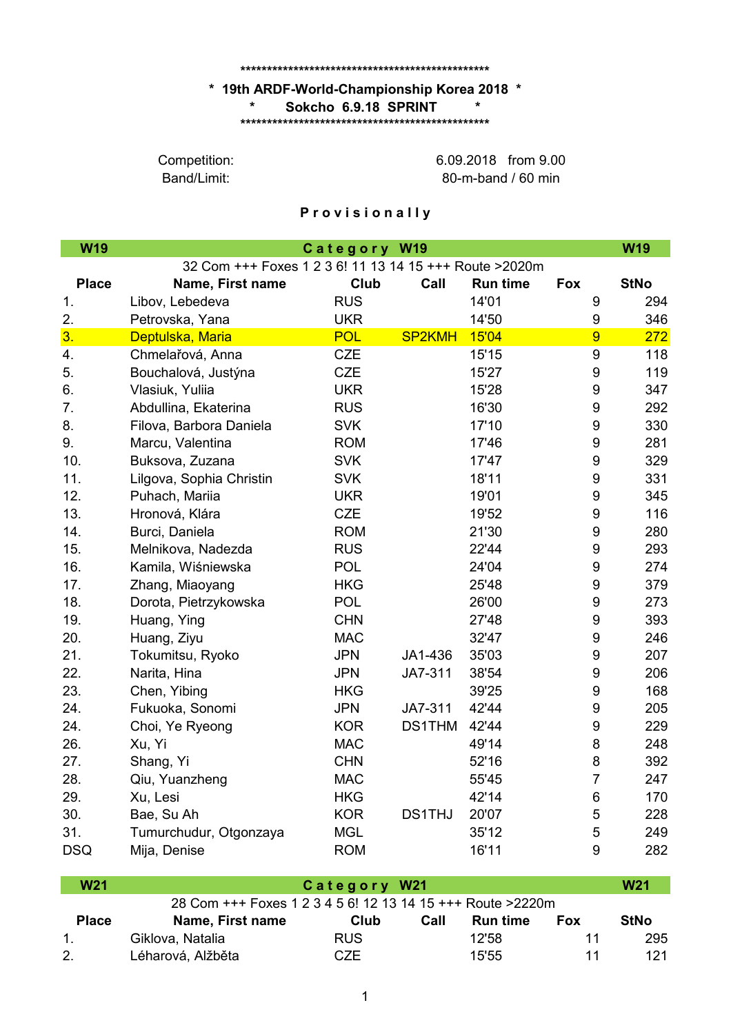## **\*\*\*\*\*\*\*\*\*\*\*\*\*\*\*\*\*\*\*\*\*\*\*\*\*\*\*\*\*\*\*\*\*\*\*\*\*\*\*\*\*\*\*\*\*\*\***

## **\* 19th ARDF-World-Championship Korea 2018 \* \*\*\*\*\*\*\*\*\*\*\*\*\*\*\*\*\*\*\*\*\*\*\*\*\*\*\*\*\*\*\*\*\*\*\*\*\*\*\*\*\*\*\*\*\*\*\* \* Sokcho 6.9.18 SPRINT \***

Band/Limit:

80-m-band / 60 min Competition: 6.09.2018 from 9.00

## **P r o v i s i o n a l l y**

| <b>W19</b>     | Category W19                                            |            |               |                 |                  |             |  |
|----------------|---------------------------------------------------------|------------|---------------|-----------------|------------------|-------------|--|
|                | 32 Com +++ Foxes 1 2 3 6! 11 13 14 15 +++ Route > 2020m |            |               |                 |                  |             |  |
| <b>Place</b>   | Name, First name                                        | Club       | Call          | <b>Run time</b> | Fox              | <b>StNo</b> |  |
| 1.             | Libov, Lebedeva                                         | <b>RUS</b> |               | 14'01           | 9                | 294         |  |
| 2.             | Petrovska, Yana                                         | <b>UKR</b> |               | 14'50           | 9                | 346         |  |
| 3 <sub>1</sub> | Deptulska, Maria                                        | <b>POL</b> | <b>SP2KMH</b> | 15'04           | $\overline{9}$   | 272         |  |
| 4.             | Chmelařová, Anna                                        | <b>CZE</b> |               | 15'15           | $\boldsymbol{9}$ | 118         |  |
| 5.             | Bouchalová, Justýna                                     | <b>CZE</b> |               | 15'27           | 9                | 119         |  |
| 6.             | Vlasiuk, Yuliia                                         | <b>UKR</b> |               | 15'28           | 9                | 347         |  |
| 7.             | Abdullina, Ekaterina                                    | <b>RUS</b> |               | 16'30           | 9                | 292         |  |
| 8.             | Filova, Barbora Daniela                                 | <b>SVK</b> |               | 17'10           | 9                | 330         |  |
| 9.             | Marcu, Valentina                                        | <b>ROM</b> |               | 17'46           | 9                | 281         |  |
| 10.            | Buksova, Zuzana                                         | <b>SVK</b> |               | 17'47           | 9                | 329         |  |
| 11.            | Lilgova, Sophia Christin                                | <b>SVK</b> |               | 18'11           | $\boldsymbol{9}$ | 331         |  |
| 12.            | Puhach, Mariia                                          | <b>UKR</b> |               | 19'01           | 9                | 345         |  |
| 13.            | Hronová, Klára                                          | <b>CZE</b> |               | 19'52           | $\boldsymbol{9}$ | 116         |  |
| 14.            | Burci, Daniela                                          | <b>ROM</b> |               | 21'30           | 9                | 280         |  |
| 15.            | Melnikova, Nadezda                                      | <b>RUS</b> |               | 22'44           | 9                | 293         |  |
| 16.            | Kamila, Wiśniewska                                      | <b>POL</b> |               | 24'04           | 9                | 274         |  |
| 17.            | Zhang, Miaoyang                                         | <b>HKG</b> |               | 25'48           | 9                | 379         |  |
| 18.            | Dorota, Pietrzykowska                                   | <b>POL</b> |               | 26'00           | 9                | 273         |  |
| 19.            | Huang, Ying                                             | <b>CHN</b> |               | 27'48           | 9                | 393         |  |
| 20.            | Huang, Ziyu                                             | <b>MAC</b> |               | 32'47           | $\boldsymbol{9}$ | 246         |  |
| 21.            | Tokumitsu, Ryoko                                        | <b>JPN</b> | JA1-436       | 35'03           | 9                | 207         |  |
| 22.            | Narita, Hina                                            | <b>JPN</b> | JA7-311       | 38'54           | 9                | 206         |  |
| 23.            | Chen, Yibing                                            | <b>HKG</b> |               | 39'25           | 9                | 168         |  |
| 24.            | Fukuoka, Sonomi                                         | <b>JPN</b> | JA7-311       | 42'44           | 9                | 205         |  |
| 24.            | Choi, Ye Ryeong                                         | <b>KOR</b> | <b>DS1THM</b> | 42'44           | 9                | 229         |  |
| 26.            | Xu, Yi                                                  | <b>MAC</b> |               | 49'14           | 8                | 248         |  |
| 27.            | Shang, Yi                                               | <b>CHN</b> |               | 52'16           | 8                | 392         |  |
| 28.            | Qiu, Yuanzheng                                          | <b>MAC</b> |               | 55'45           | $\overline{7}$   | 247         |  |
| 29.            | Xu, Lesi                                                | <b>HKG</b> |               | 42'14           | 6                | 170         |  |
| 30.            | Bae, Su Ah                                              | <b>KOR</b> | <b>DS1THJ</b> | 20'07           | 5                | 228         |  |
| 31.            | Tumurchudur, Otgonzaya                                  | <b>MGL</b> |               | 35'12           | 5                | 249         |  |
| <b>DSQ</b>     | Mija, Denise                                            | <b>ROM</b> |               | 16'11           | 9                | 282         |  |

| <b>W21</b>   |                                                              | Category W21 |      |                 |            |             |  |
|--------------|--------------------------------------------------------------|--------------|------|-----------------|------------|-------------|--|
|              | 28 Com +++ Foxes 1 2 3 4 5 6! 12 13 14 15 +++ Route > 2220 m |              |      |                 |            |             |  |
| <b>Place</b> | Name, First name                                             | Club         | Call | <b>Run time</b> | <b>Fox</b> | <b>StNo</b> |  |
|              | Giklova, Natalia                                             | <b>RUS</b>   |      | 12'58           | 11         | 295         |  |
| 2.           | Léharová, Alžběta                                            | CZE.         |      | 15'55           | 11         | 121         |  |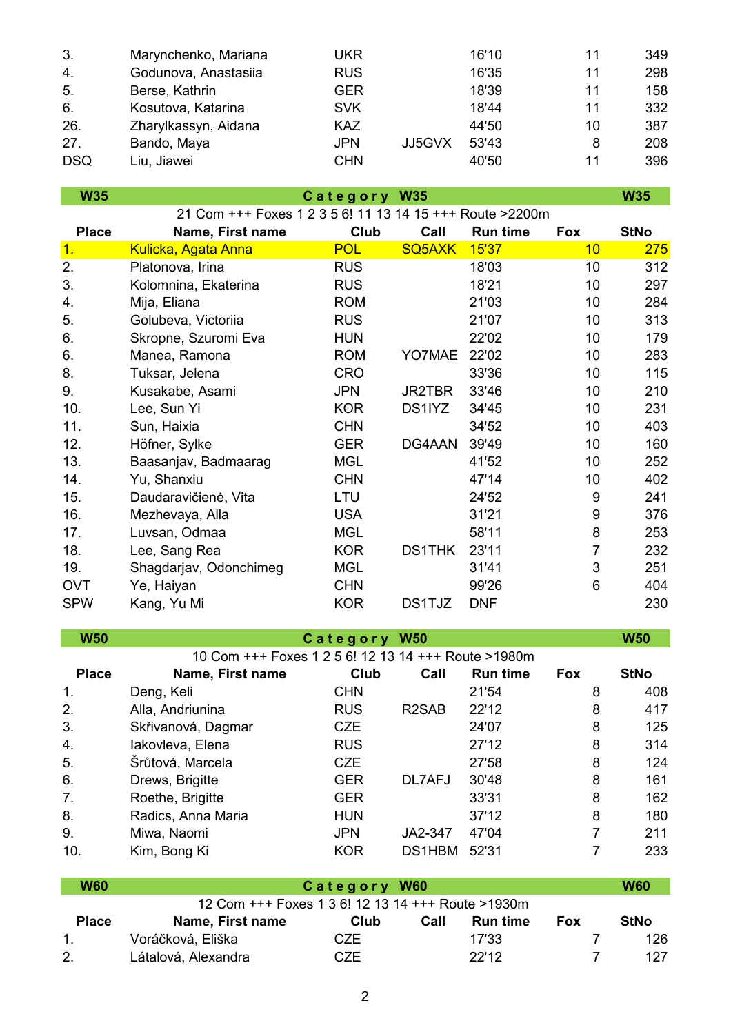| 3.         | Marynchenko, Mariana | UKR        |        | 16'10 | 11 | 349 |
|------------|----------------------|------------|--------|-------|----|-----|
| 4.         | Godunova, Anastasiia | <b>RUS</b> |        | 16'35 | 11 | 298 |
| 5.         | Berse, Kathrin       | GER        |        | 18'39 | 11 | 158 |
| 6.         | Kosutova, Katarina   | <b>SVK</b> |        | 18'44 | 11 | 332 |
| 26.        | Zharylkassyn, Aidana | <b>KAZ</b> |        | 44'50 | 10 | 387 |
| 27.        | Bando, Maya          | <b>JPN</b> | JJ5GVX | 53'43 | 8  | 208 |
| <b>DSQ</b> | Liu, Jiawei          | <b>CHN</b> |        | 40'50 | 11 | 396 |

**W35 W35 C a t e g o r y W35 Place Name, First name Club Call Run time Fox StNo** 1. Kulicka, Agata Anna 1998 POL SQ5AXK 15'37 10 275 2. Platonova, Irina RUS RUS 18'03 10 312 3. Kolomnina, Ekaterina RUS 18'21 10 297 4. Mija, Eliana ROM 21'03 10 284 5. Golubeva, Victoriia RUS 21'07 10 313 6. Skropne, Szuromi Eva HUN 22'02 10 179 6. Manea, Ramona ROM YO7MAE 22'02 10 283 8. Tuksar, Jelena CRO 33'36 10 115 9. Kusakabe, Asami JPN JR2TBR 33'46 10 210 10. Lee, Sun Yi KOR DS1IYZ 34'45 10 231 11. Sun, Haixia CHN 34'52 10 403 12. Höfner, Sylke GER DG4AAN 39'49 10 160 13. Baasanjav, Badmaarag MGL 41'52 10 252 21 Com +++ Foxes 1 2 3 5 6! 11 13 14 15 +++ Route >2200m 14. Yu, Shanxiu CHN 47'14 10 402 15. Daudaravičienė, Vita LTU 24'52 9 241 16. Mezhevaya, Alla USA 31'21 9 376 17. Luvsan, Odmaa MGL 58'11 8 253 18. Lee, Sang Rea KOR DS1THK 23'11 7 232 19. Shagdarjav, Odonchimeg MGL 31'41 3 251 OVT Ye, Haiyan CHN 99'26 6 404 SPW Kang, Yu Mi KOR DS1TJZ DNF 230

| <b>W50</b>                                          |                    | Category W50 |                    |                 |            | <b>W50</b>  |  |
|-----------------------------------------------------|--------------------|--------------|--------------------|-----------------|------------|-------------|--|
| 10 Com +++ Foxes 1 2 5 6! 12 13 14 +++ Route >1980m |                    |              |                    |                 |            |             |  |
| <b>Place</b>                                        | Name, First name   | Club         | Call               | <b>Run time</b> | <b>Fox</b> | <b>StNo</b> |  |
| 1.                                                  | Deng, Keli         | <b>CHN</b>   |                    | 21'54           | 8          | 408         |  |
| 2.                                                  | Alla, Andriunina   | <b>RUS</b>   | R <sub>2</sub> SAB | 22'12           | 8          | 417         |  |
| 3.                                                  | Skřivanová, Dagmar | <b>CZE</b>   |                    | 24'07           | 8          | 125         |  |
| 4.                                                  | lakovleva, Elena   | <b>RUS</b>   |                    | 27'12           | 8          | 314         |  |
| 5.                                                  | Šrůtová, Marcela   | <b>CZE</b>   |                    | 27'58           | 8          | 124         |  |
| 6.                                                  | Drews, Brigitte    | <b>GER</b>   | DL7AFJ             | 30'48           | 8          | 161         |  |
| 7.                                                  | Roethe, Brigitte   | <b>GER</b>   |                    | 33'31           | 8          | 162         |  |
| 8.                                                  | Radics, Anna Maria | <b>HUN</b>   |                    | 37'12           | 8          | 180         |  |
| 9.                                                  | Miwa, Naomi        | <b>JPN</b>   | JA2-347            | 47'04           | 7          | 211         |  |
| 10.                                                 | Kim, Bong Ki       | <b>KOR</b>   | DS1HBM             | 52'31           |            | 233         |  |

| W60          |                                                   | Category W60 |      |                 |            |             |  |
|--------------|---------------------------------------------------|--------------|------|-----------------|------------|-------------|--|
|              | 12 Com +++ Foxes 1 3 6! 12 13 14 +++ Route >1930m |              |      |                 |            |             |  |
| <b>Place</b> | Name, First name                                  | Club         | Call | <b>Run time</b> | <b>Fox</b> | <b>StNo</b> |  |
| 1.           | Voráčková, Eliška                                 | CZE          |      | 17'33           |            | 126.        |  |
| 2.           | Látalová, Alexandra                               | CZE          |      | 22'12           |            | 127         |  |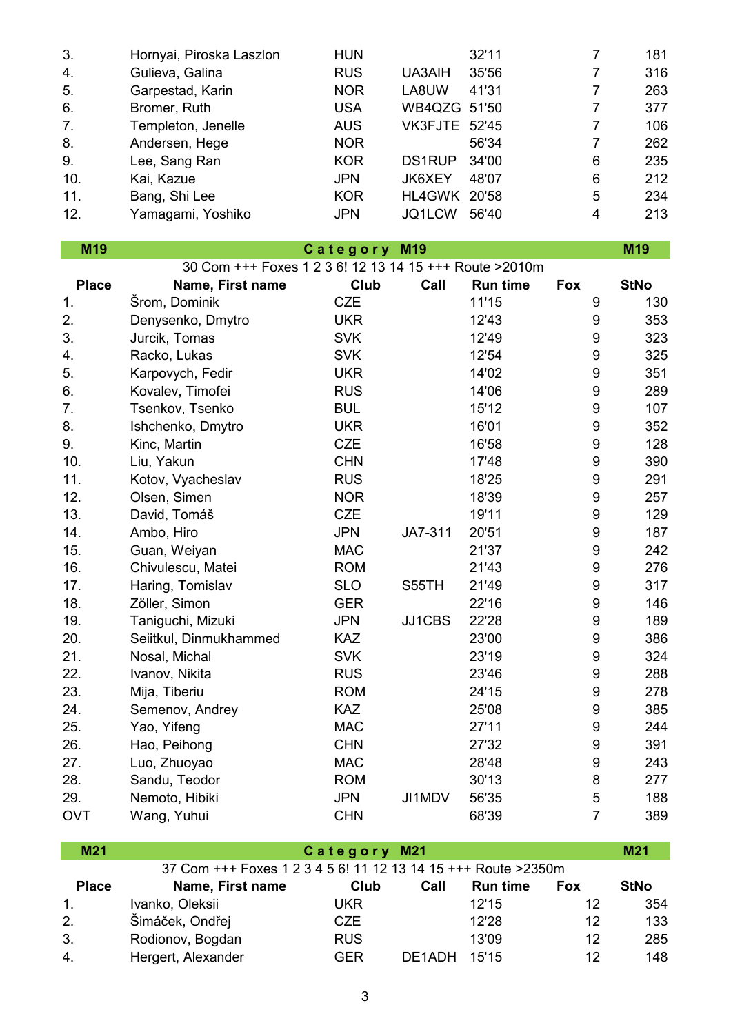| 3.  | Hornyai, Piroska Laszlon | <b>HUN</b> |                      | 32'11 |   | 181 |
|-----|--------------------------|------------|----------------------|-------|---|-----|
| 4.  | Gulieva, Galina          | <b>RUS</b> | UA3AIH               | 35'56 |   | 316 |
| 5.  | Garpestad, Karin         | <b>NOR</b> | LA8UW                | 41'31 |   | 263 |
| 6.  | Bromer, Ruth             | <b>USA</b> | WB4QZG 51'50         |       |   | 377 |
| 7.  | Templeton, Jenelle       | <b>AUS</b> | <b>VK3FJTE 52'45</b> |       | 7 | 106 |
| 8.  | Andersen, Hege           | <b>NOR</b> |                      | 56'34 |   | 262 |
| 9.  | Lee, Sang Ran            | <b>KOR</b> | <b>DS1RUP</b>        | 34'00 | 6 | 235 |
| 10. | Kai, Kazue               | <b>JPN</b> | JK6XEY               | 48'07 | 6 | 212 |
| 11. | Bang, Shi Lee            | <b>KOR</b> | HL4GWK               | 20'58 | 5 | 234 |
| 12. | Yamagami, Yoshiko        | <b>JPN</b> | JQ1LCW               | 56'40 | 4 | 213 |

**C a t e g o r y M19**

| M <sub>19</sub> | Category<br>M <sub>19</sub>                             |            |         |                 |                  |             |  |
|-----------------|---------------------------------------------------------|------------|---------|-----------------|------------------|-------------|--|
|                 | 30 Com +++ Foxes 1 2 3 6! 12 13 14 15 +++ Route > 2010m |            |         |                 |                  |             |  |
| <b>Place</b>    | Name, First name                                        | Club       | Call    | <b>Run time</b> | <b>Fox</b>       | <b>StNo</b> |  |
| 1.              | Šrom, Dominik                                           | <b>CZE</b> |         | 11'15           | 9                | 130         |  |
| 2.              | Denysenko, Dmytro                                       | <b>UKR</b> |         | 12'43           | 9                | 353         |  |
| 3.              | Jurcik, Tomas                                           | <b>SVK</b> |         | 12'49           | $\boldsymbol{9}$ | 323         |  |
| 4.              | Racko, Lukas                                            | <b>SVK</b> |         | 12'54           | 9                | 325         |  |
| 5.              | Karpovych, Fedir                                        | <b>UKR</b> |         | 14'02           | $\boldsymbol{9}$ | 351         |  |
| 6.              | Kovalev, Timofei                                        | <b>RUS</b> |         | 14'06           | $\boldsymbol{9}$ | 289         |  |
| 7.              | Tsenkov, Tsenko                                         | <b>BUL</b> |         | 15'12           | 9                | 107         |  |
| 8.              | Ishchenko, Dmytro                                       | <b>UKR</b> |         | 16'01           | 9                | 352         |  |
| 9.              | Kinc, Martin                                            | <b>CZE</b> |         | 16'58           | 9                | 128         |  |
| 10.             | Liu, Yakun                                              | <b>CHN</b> |         | 17'48           | $\boldsymbol{9}$ | 390         |  |
| 11.             | Kotov, Vyacheslav                                       | <b>RUS</b> |         | 18'25           | 9                | 291         |  |
| 12.             | Olsen, Simen                                            | <b>NOR</b> |         | 18'39           | $\boldsymbol{9}$ | 257         |  |
| 13.             | David, Tomáš                                            | <b>CZE</b> |         | 19'11           | $\boldsymbol{9}$ | 129         |  |
| 14.             | Ambo, Hiro                                              | <b>JPN</b> | JA7-311 | 20'51           | 9                | 187         |  |
| 15.             | Guan, Weiyan                                            | <b>MAC</b> |         | 21'37           | $\boldsymbol{9}$ | 242         |  |
| 16.             | Chivulescu, Matei                                       | <b>ROM</b> |         | 21'43           | 9                | 276         |  |
| 17.             | Haring, Tomislav                                        | <b>SLO</b> | S55TH   | 21'49           | $\boldsymbol{9}$ | 317         |  |
| 18.             | Zöller, Simon                                           | <b>GER</b> |         | 22'16           | $\boldsymbol{9}$ | 146         |  |
| 19.             | Taniguchi, Mizuki                                       | <b>JPN</b> | JJ1CBS  | 22'28           | $\boldsymbol{9}$ | 189         |  |
| 20.             | Seiitkul, Dinmukhammed                                  | <b>KAZ</b> |         | 23'00           | $\boldsymbol{9}$ | 386         |  |
| 21.             | Nosal, Michal                                           | <b>SVK</b> |         | 23'19           | 9                | 324         |  |
| 22.             | Ivanov, Nikita                                          | <b>RUS</b> |         | 23'46           | $\boldsymbol{9}$ | 288         |  |
| 23.             | Mija, Tiberiu                                           | <b>ROM</b> |         | 24'15           | 9                | 278         |  |
| 24.             | Semenov, Andrey                                         | <b>KAZ</b> |         | 25'08           | 9                | 385         |  |
| 25.             | Yao, Yifeng                                             | <b>MAC</b> |         | 27'11           | 9                | 244         |  |
| 26.             | Hao, Peihong                                            | <b>CHN</b> |         | 27'32           | $\boldsymbol{9}$ | 391         |  |
| 27.             | Luo, Zhuoyao                                            | <b>MAC</b> |         | 28'48           | 9                | 243         |  |
| 28.             | Sandu, Teodor                                           | <b>ROM</b> |         | 30'13           | 8                | 277         |  |
| 29.             | Nemoto, Hibiki                                          | <b>JPN</b> | JI1MDV  | 56'35           | 5                | 188         |  |
| <b>OVT</b>      | Wang, Yuhui                                             | <b>CHN</b> |         | 68'39           | $\overline{7}$   | 389         |  |

## **M21 M21 C a t e g o r y M21**

| 37 Com +++ Foxes 1 2 3 4 5 6! 11 12 13 14 15 +++ Route > 2350 m |                    |            |        |                 |            |      |  |  |
|-----------------------------------------------------------------|--------------------|------------|--------|-----------------|------------|------|--|--|
| <b>Place</b>                                                    | Name, First name   | Club       | Call   | <b>Run time</b> | <b>Fox</b> | StNo |  |  |
| $\mathbf{1}$ .                                                  | Ivanko, Oleksii    | UKR.       |        | 12'15           | 12         | 354  |  |  |
| 2.                                                              | Šimáček, Ondřej    | CZE        |        | 12'28           | 12         | 133  |  |  |
| 3.                                                              | Rodionov, Bogdan   | <b>RUS</b> |        | 13'09           | 12         | 285  |  |  |
| 4.                                                              | Hergert, Alexander | <b>GER</b> | DE1ADH | 15'15           | 12         | 148  |  |  |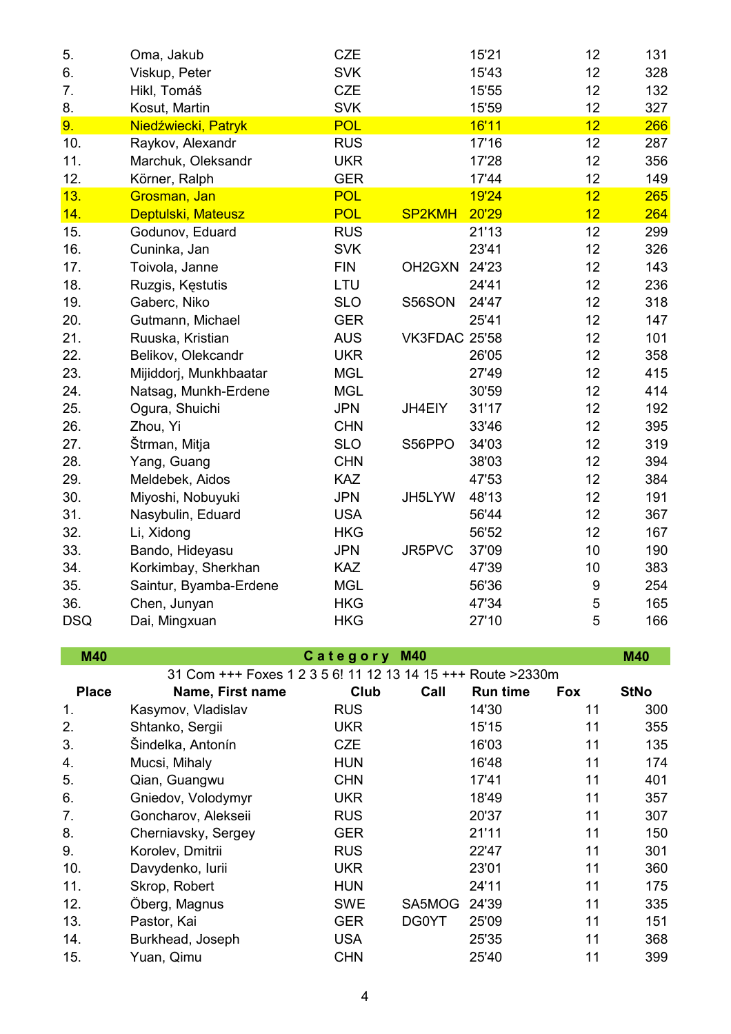| 5.           | Oma, Jakub                                                   | <b>CZE</b> |                                 | 15'21           | 12  | 131         |
|--------------|--------------------------------------------------------------|------------|---------------------------------|-----------------|-----|-------------|
| 6.           | Viskup, Peter                                                | <b>SVK</b> |                                 | 15'43           | 12  | 328         |
| 7.           | Hikl, Tomáš                                                  | <b>CZE</b> |                                 | 15'55           | 12  | 132         |
| 8.           | Kosut, Martin                                                | <b>SVK</b> |                                 | 15'59           | 12  | 327         |
| 9.           | Niedźwiecki, Patryk                                          | <b>POL</b> |                                 | 16'11           | 12  | 266         |
| 10.          | Raykov, Alexandr                                             | <b>RUS</b> |                                 | 17'16           | 12  | 287         |
| 11.          | Marchuk, Oleksandr                                           | <b>UKR</b> |                                 | 17'28           | 12  | 356         |
| 12.          | Körner, Ralph                                                | <b>GER</b> |                                 | 17'44           | 12  | 149         |
| 13.          | Grosman, Jan                                                 | <b>POL</b> |                                 | 19'24           | 12  | 265         |
| 14.          | Deptulski, Mateusz                                           | <b>POL</b> | <b>SP2KMH</b>                   | 20'29           | 12  | 264         |
| 15.          | Godunov, Eduard                                              | <b>RUS</b> |                                 | 21'13           | 12  | 299         |
| 16.          | Cuninka, Jan                                                 | <b>SVK</b> |                                 | 23'41           | 12  | 326         |
| 17.          | Toivola, Janne                                               | <b>FIN</b> | OH <sub>2</sub> G <sub>XN</sub> | 24'23           | 12  | 143         |
| 18.          | Ruzgis, Kęstutis                                             | LTU        |                                 | 24'41           | 12  | 236         |
| 19.          | Gaberc, Niko                                                 | <b>SLO</b> | S56SON                          | 24'47           | 12  | 318         |
| 20.          | Gutmann, Michael                                             | <b>GER</b> |                                 | 25'41           | 12  | 147         |
| 21.          | Ruuska, Kristian                                             | <b>AUS</b> | <b>VK3FDAC 25'58</b>            |                 | 12  | 101         |
| 22.          | Belikov, Olekcandr                                           | <b>UKR</b> |                                 | 26'05           | 12  | 358         |
| 23.          | Mijiddorj, Munkhbaatar                                       | <b>MGL</b> |                                 | 27'49           | 12  | 415         |
| 24.          | Natsag, Munkh-Erdene                                         | <b>MGL</b> |                                 | 30'59           | 12  | 414         |
| 25.          | Ogura, Shuichi                                               | <b>JPN</b> | JH4EIY                          | 31'17           | 12  | 192         |
| 26.          | Zhou, Yi                                                     | <b>CHN</b> |                                 | 33'46           | 12  | 395         |
| 27.          | Štrman, Mitja                                                | <b>SLO</b> | S56PPO                          | 34'03           | 12  | 319         |
| 28.          | Yang, Guang                                                  | <b>CHN</b> |                                 | 38'03           | 12  | 394         |
| 29.          | Meldebek, Aidos                                              | <b>KAZ</b> |                                 | 47'53           | 12  | 384         |
| 30.          | Miyoshi, Nobuyuki                                            | <b>JPN</b> | JH5LYW                          | 48'13           | 12  | 191         |
| 31.          | Nasybulin, Eduard                                            | <b>USA</b> |                                 | 56'44           | 12  | 367         |
| 32.          | Li, Xidong                                                   | <b>HKG</b> |                                 | 56'52           | 12  | 167         |
| 33.          | Bando, Hideyasu                                              | <b>JPN</b> | JR5PVC                          | 37'09           | 10  | 190         |
| 34.          | Korkimbay, Sherkhan                                          | <b>KAZ</b> |                                 | 47'39           | 10  | 383         |
| 35.          | Saintur, Byamba-Erdene                                       | <b>MGL</b> |                                 | 56'36           | 9   | 254         |
| 36.          | Chen, Junyan                                                 | <b>HKG</b> |                                 | 47'34           | 5   | 165         |
| <b>DSQ</b>   | Dai, Mingxuan                                                | <b>HKG</b> |                                 | 27'10           | 5   | 166         |
|              |                                                              |            |                                 |                 |     |             |
| M40          | 31 Com +++ Foxes 1 2 3 5 6! 11 12 13 14 15 +++ Route > 2330m | Category   | <b>M40</b>                      |                 |     | <b>M40</b>  |
| <b>Place</b> | Name, First name                                             | Club       | Call                            | <b>Run time</b> | Fox | <b>StNo</b> |
| 1.           | Kasymov, Vladislav                                           | <b>RUS</b> |                                 | 14'30           | 11  | 300         |
| 2.           | Shtanko, Sergii                                              | <b>UKR</b> |                                 | 15'15           | 11  | 355         |
| 3.           | Šindelka, Antonín                                            | <b>CZE</b> |                                 | 16'03           | 11  | 135         |
| 4.           | Mucsi, Mihaly                                                | <b>HUN</b> |                                 | 16'48           | 11  | 174         |
| 5.           | Qian, Guangwu                                                | <b>CHN</b> |                                 | 17'41           | 11  | 401         |
| 6.           | Gniedov, Volodymyr                                           | <b>UKR</b> |                                 | 18'49           | 11  | 357         |
| 7.           | Goncharov, Alekseii                                          | <b>RUS</b> |                                 | 20'37           | 11  | 307         |
| 8.           | Cherniavsky, Sergey                                          | <b>GER</b> |                                 | 21'11           | 11  | 150         |
| 9.           | Korolev, Dmitrii                                             | <b>RUS</b> |                                 | 22'47           | 11  | 301         |
| 10.          | Davydenko, lurii                                             | <b>UKR</b> |                                 | 23'01           | 11  | 360         |
| 11.          | Skrop, Robert                                                | <b>HUN</b> |                                 | 24'11           | 11  | 175         |
| 12.          | Öberg, Magnus                                                | <b>SWE</b> | SA5MOG                          | 24'39           | 11  | 335         |
| 13.          | Pastor, Kai                                                  | <b>GER</b> | DG0YT                           | 25'09           | 11  | 151         |
| 14.          | Burkhead, Joseph                                             | <b>USA</b> |                                 | 25'35           | 11  | 368         |
| 15.          | Yuan, Qimu                                                   | <b>CHN</b> |                                 | 25'40           | 11  | 399         |
|              |                                                              |            |                                 |                 |     |             |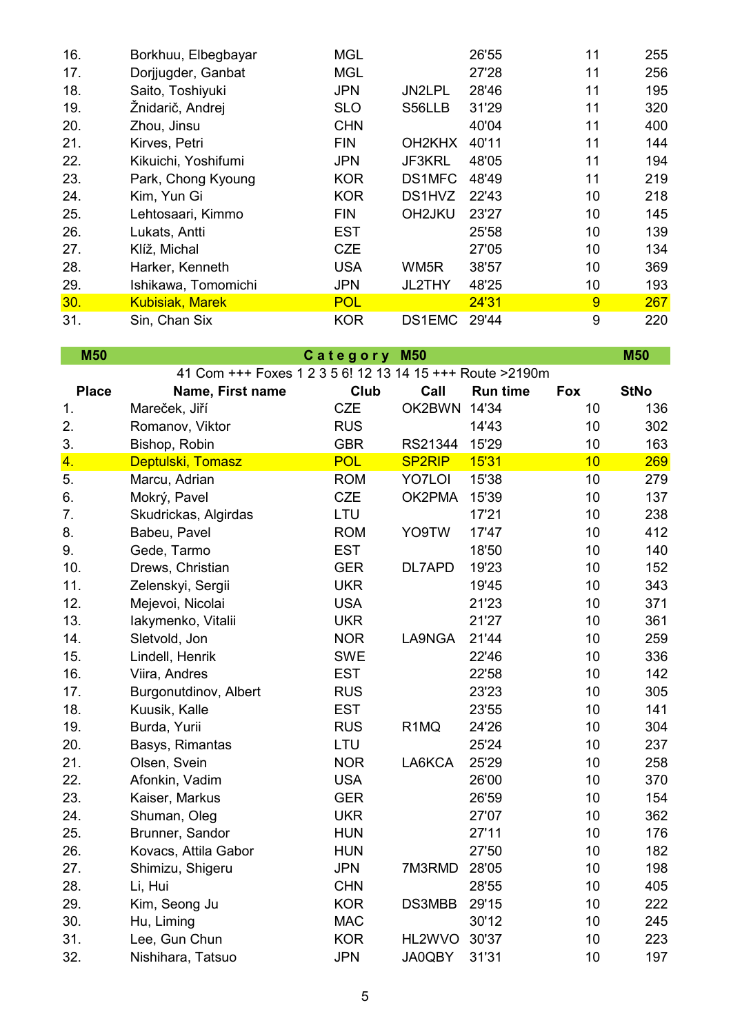| 16. | Borkhuu, Elbegbayar    | <b>MGL</b> |                                 | 26'55 | 11 | 255 |
|-----|------------------------|------------|---------------------------------|-------|----|-----|
| 17. | Dorjjugder, Ganbat     | <b>MGL</b> |                                 | 27'28 | 11 | 256 |
| 18. | Saito, Toshiyuki       | <b>JPN</b> | JN2LPL                          | 28'46 | 11 | 195 |
| 19. | Žnidarič, Andrej       | <b>SLO</b> | S56LLB                          | 31'29 | 11 | 320 |
| 20. | Zhou, Jinsu            | <b>CHN</b> |                                 | 40'04 | 11 | 400 |
| 21. | Kirves, Petri          | <b>FIN</b> | OH <sub>2</sub> KH <sub>X</sub> | 40'11 | 11 | 144 |
| 22. | Kikuichi, Yoshifumi    | <b>JPN</b> | JF3KRL                          | 48'05 | 11 | 194 |
| 23. | Park, Chong Kyoung     | <b>KOR</b> | DS1MFC                          | 48'49 | 11 | 219 |
| 24. | Kim, Yun Gi            | <b>KOR</b> | DS1HVZ                          | 22'43 | 10 | 218 |
| 25. | Lehtosaari, Kimmo      | <b>FIN</b> | OH <sub>2</sub> JKU             | 23'27 | 10 | 145 |
| 26. | Lukats, Antti          | <b>EST</b> |                                 | 25'58 | 10 | 139 |
| 27. | Klíž, Michal           | <b>CZE</b> |                                 | 27'05 | 10 | 134 |
| 28. | Harker, Kenneth        | <b>USA</b> | WM <sub>5R</sub>                | 38'57 | 10 | 369 |
| 29. | Ishikawa, Tomomichi    | <b>JPN</b> | JL2THY                          | 48'25 | 10 | 193 |
| 30. | <b>Kubisiak, Marek</b> | <b>POL</b> |                                 | 24'31 | 9  | 267 |
| 31. | Sin, Chan Six          | <b>KOR</b> | DS1EMC                          | 29'44 | 9  | 220 |

| <b>M50</b>   |                                                           | Category   | <b>M50</b>        |                 |            | <b>M50</b>  |
|--------------|-----------------------------------------------------------|------------|-------------------|-----------------|------------|-------------|
|              | 41 Com +++ Foxes 1 2 3 5 6! 12 13 14 15 +++ Route > 2190m |            |                   |                 |            |             |
| <b>Place</b> | Name, First name                                          | Club       | Call              | <b>Run time</b> | <b>Fox</b> | <b>StNo</b> |
| 1.           | Mareček, Jiří                                             | <b>CZE</b> | OK2BWN            | 14'34           | 10         | 136         |
| 2.           | Romanov, Viktor                                           | <b>RUS</b> |                   | 14'43           | 10         | 302         |
| 3.           | Bishop, Robin                                             | <b>GBR</b> | RS21344           | 15'29           | 10         | 163         |
| 4.           | Deptulski, Tomasz                                         | <b>POL</b> | <b>SP2RIP</b>     | 15'31           | 10         | 269         |
| 5.           | Marcu, Adrian                                             | <b>ROM</b> | <b>YO7LOI</b>     | 15'38           | 10         | 279         |
| 6.           | Mokrý, Pavel                                              | <b>CZE</b> | OK2PMA            | 15'39           | 10         | 137         |
| 7.           | Skudrickas, Algirdas                                      | LTU        |                   | 17'21           | 10         | 238         |
| 8.           | Babeu, Pavel                                              | <b>ROM</b> | YO9TW             | 17'47           | 10         | 412         |
| 9.           | Gede, Tarmo                                               | <b>EST</b> |                   | 18'50           | 10         | 140         |
| 10.          | Drews, Christian                                          | <b>GER</b> | DL7APD            | 19'23           | 10         | 152         |
| 11.          | Zelenskyi, Sergii                                         | <b>UKR</b> |                   | 19'45           | 10         | 343         |
| 12.          | Mejevoi, Nicolai                                          | <b>USA</b> |                   | 21'23           | 10         | 371         |
| 13.          | lakymenko, Vitalii                                        | <b>UKR</b> |                   | 21'27           | 10         | 361         |
| 14.          | Sletvold, Jon                                             | <b>NOR</b> | LA9NGA            | 21'44           | 10         | 259         |
| 15.          | Lindell, Henrik                                           | <b>SWE</b> |                   | 22'46           | 10         | 336         |
| 16.          | Viira, Andres                                             | <b>EST</b> |                   | 22'58           | 10         | 142         |
| 17.          | Burgonutdinov, Albert                                     | <b>RUS</b> |                   | 23'23           | 10         | 305         |
| 18.          | Kuusik, Kalle                                             | <b>EST</b> |                   | 23'55           | 10         | 141         |
| 19.          | Burda, Yurii                                              | <b>RUS</b> | R <sub>1</sub> MQ | 24'26           | 10         | 304         |
| 20.          | Basys, Rimantas                                           | LTU        |                   | 25'24           | 10         | 237         |
| 21.          | Olsen, Svein                                              | <b>NOR</b> | LA6KCA            | 25'29           | 10         | 258         |
| 22.          | Afonkin, Vadim                                            | <b>USA</b> |                   | 26'00           | 10         | 370         |
| 23.          | Kaiser, Markus                                            | <b>GER</b> |                   | 26'59           | 10         | 154         |
| 24.          | Shuman, Oleg                                              | <b>UKR</b> |                   | 27'07           | 10         | 362         |
| 25.          | Brunner, Sandor                                           | <b>HUN</b> |                   | 27'11           | 10         | 176         |
| 26.          | Kovacs, Attila Gabor                                      | <b>HUN</b> |                   | 27'50           | 10         | 182         |
| 27.          | Shimizu, Shigeru                                          | <b>JPN</b> | 7M3RMD            | 28'05           | 10         | 198         |
| 28.          | Li, Hui                                                   | <b>CHN</b> |                   | 28'55           | 10         | 405         |
| 29.          | Kim, Seong Ju                                             | <b>KOR</b> | DS3MBB            | 29'15           | 10         | 222         |
| 30.          | Hu, Liming                                                | <b>MAC</b> |                   | 30'12           | 10         | 245         |
| 31.          | Lee, Gun Chun                                             | <b>KOR</b> | HL2WVO            | 30'37           | 10         | 223         |
| 32.          | Nishihara, Tatsuo                                         | <b>JPN</b> | JA0QBY            | 31'31           | 10         | 197         |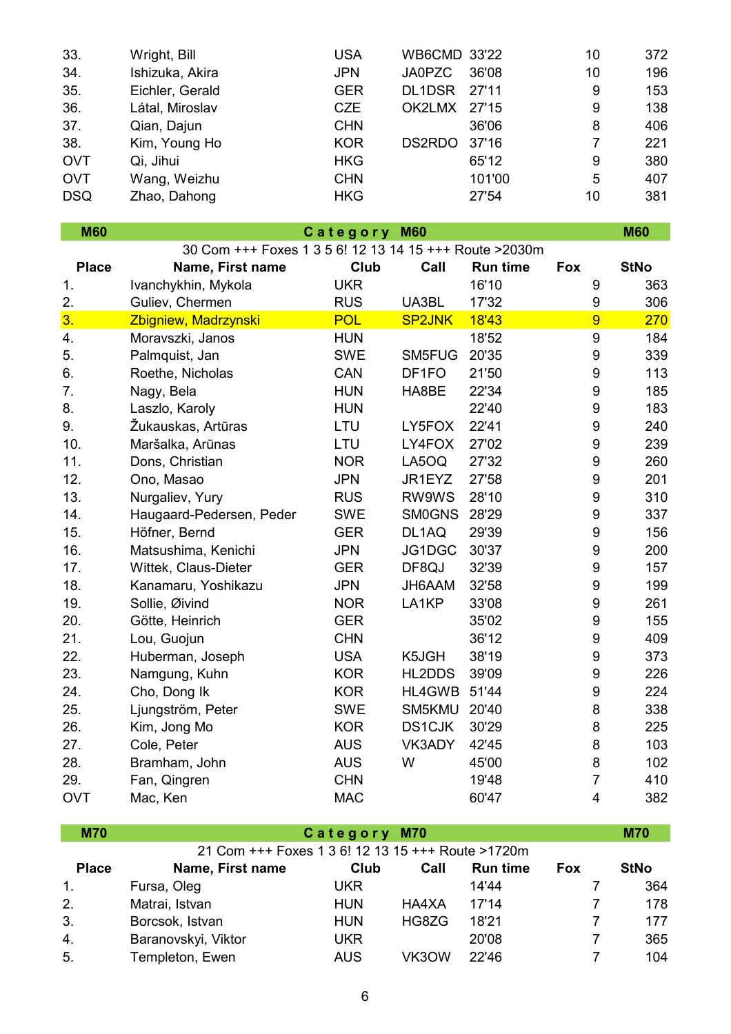| 33.        | Wright, Bill    | <b>USA</b> | <b>WB6CMD 33'22</b>    | 10 | 372 |
|------------|-----------------|------------|------------------------|----|-----|
| 34.        | Ishizuka, Akira | <b>JPN</b> | <b>JA0PZC</b><br>36'08 | 10 | 196 |
| 35.        | Eichler, Gerald | <b>GER</b> | DL1DSR<br>27'11        | 9  | 153 |
| 36.        | Látal, Miroslav | <b>CZE</b> | OK2LMX<br>27'15        | 9  | 138 |
| 37.        | Qian, Dajun     | <b>CHN</b> | 36'06                  | 8  | 406 |
| 38.        | Kim, Young Ho   | <b>KOR</b> | DS2RDO<br>37'16        | 7  | 221 |
| <b>OVT</b> | Qi, Jihui       | <b>HKG</b> | 65'12                  | 9  | 380 |
| <b>OVT</b> | Wang, Weizhu    | <b>CHN</b> | 101'00                 | 5  | 407 |
| <b>DSQ</b> | Zhao, Dahong    | <b>HKG</b> | 27'54                  | 10 | 381 |
|            |                 |            |                        |    |     |

| <b>M60</b>     |                                                         | Category   | <b>M60</b>    |                 |                  | <b>M60</b>  |  |
|----------------|---------------------------------------------------------|------------|---------------|-----------------|------------------|-------------|--|
|                | 30 Com +++ Foxes 1 3 5 6! 12 13 14 15 +++ Route > 2030m |            |               |                 |                  |             |  |
| <b>Place</b>   | Name, First name                                        | Club       | Call          | <b>Run time</b> | <b>Fox</b>       | <b>StNo</b> |  |
| 1.             | Ivanchykhin, Mykola                                     | <b>UKR</b> |               | 16'10           | 9                | 363         |  |
| 2.             | Guliev, Chermen                                         | <b>RUS</b> | UA3BL         | 17'32           | $\boldsymbol{9}$ | 306         |  |
| 3 <sub>1</sub> | Zbigniew, Madrzynski                                    | <b>POL</b> | <b>SP2JNK</b> | 18'43           | 9                | 270         |  |
| 4.             | Moravszki, Janos                                        | <b>HUN</b> |               | 18'52           | $\boldsymbol{9}$ | 184         |  |
| 5.             | Palmquist, Jan                                          | <b>SWE</b> | SM5FUG        | 20'35           | 9                | 339         |  |
| 6.             | Roethe, Nicholas                                        | CAN        | DF1FO         | 21'50           | $\boldsymbol{9}$ | 113         |  |
| 7.             | Nagy, Bela                                              | <b>HUN</b> | HA8BE         | 22'34           | $\boldsymbol{9}$ | 185         |  |
| 8.             | Laszlo, Karoly                                          | <b>HUN</b> |               | 22'40           | $\boldsymbol{9}$ | 183         |  |
| 9.             | Žukauskas, Artūras                                      | LTU        | LY5FOX        | 22'41           | $\boldsymbol{9}$ | 240         |  |
| 10.            | Maršalka, Arūnas                                        | LTU        | LY4FOX        | 27'02           | $\boldsymbol{9}$ | 239         |  |
| 11.            | Dons, Christian                                         | <b>NOR</b> | LA5OQ         | 27'32           | 9                | 260         |  |
| 12.            | Ono, Masao                                              | <b>JPN</b> | JR1EYZ        | 27'58           | $\boldsymbol{9}$ | 201         |  |
| 13.            | Nurgaliev, Yury                                         | <b>RUS</b> | RW9WS         | 28'10           | $\boldsymbol{9}$ | 310         |  |
| 14.            | Haugaard-Pedersen, Peder                                | <b>SWE</b> | <b>SM0GNS</b> | 28'29           | $\boldsymbol{9}$ | 337         |  |
| 15.            | Höfner, Bernd                                           | <b>GER</b> | DL1AQ         | 29'39           | $\boldsymbol{9}$ | 156         |  |
| 16.            | Matsushima, Kenichi                                     | <b>JPN</b> | JG1DGC        | 30'37           | 9                | 200         |  |
| 17.            | Wittek, Claus-Dieter                                    | <b>GER</b> | DF8QJ         | 32'39           | $\boldsymbol{9}$ | 157         |  |
| 18.            | Kanamaru, Yoshikazu                                     | <b>JPN</b> | JH6AAM        | 32'58           | $\boldsymbol{9}$ | 199         |  |
| 19.            | Sollie, Øivind                                          | <b>NOR</b> | LA1KP         | 33'08           | 9                | 261         |  |
| 20.            | Götte, Heinrich                                         | <b>GER</b> |               | 35'02           | $\boldsymbol{9}$ | 155         |  |
| 21.            | Lou, Guojun                                             | <b>CHN</b> |               | 36'12           | $\boldsymbol{9}$ | 409         |  |
| 22.            | Huberman, Joseph                                        | <b>USA</b> | K5JGH         | 38'19           | $\boldsymbol{9}$ | 373         |  |
| 23.            | Namgung, Kuhn                                           | <b>KOR</b> | HL2DDS        | 39'09           | $\boldsymbol{9}$ | 226         |  |
| 24.            | Cho, Dong Ik                                            | <b>KOR</b> | HL4GWB        | 51'44           | $\boldsymbol{9}$ | 224         |  |
| 25.            | Ljungström, Peter                                       | <b>SWE</b> | SM5KMU        | 20'40           | 8                | 338         |  |
| 26.            | Kim, Jong Mo                                            | <b>KOR</b> | <b>DS1CJK</b> | 30'29           | 8                | 225         |  |
| 27.            | Cole, Peter                                             | <b>AUS</b> | VK3ADY        | 42'45           | 8                | 103         |  |
| 28.            | Bramham, John                                           | <b>AUS</b> | W             | 45'00           | 8                | 102         |  |
| 29.            | Fan, Qingren                                            | <b>CHN</b> |               | 19'48           | $\overline{7}$   | 410         |  |
| <b>OVT</b>     | Mac, Ken                                                | <b>MAC</b> |               | 60'47           | 4                | 382         |  |

| <b>M70</b>   |                                                   | Category M70 |       |                 |            | <b>M70</b>  |
|--------------|---------------------------------------------------|--------------|-------|-----------------|------------|-------------|
|              | 21 Com +++ Foxes 1 3 6! 12 13 15 +++ Route >1720m |              |       |                 |            |             |
| <b>Place</b> | Name, First name                                  | Club         | Call  | <b>Run time</b> | <b>Fox</b> | <b>StNo</b> |
| 1.           | Fursa, Oleg                                       | <b>UKR</b>   |       | 14'44           |            | 364         |
| 2.           | Matrai, Istvan                                    | <b>HUN</b>   | HA4XA | 17'14           |            | 178         |
| 3.           | Borcsok, Istvan                                   | <b>HUN</b>   | HG8ZG | 18'21           |            | 177         |
| 4.           | Baranovskyi, Viktor                               | <b>UKR</b>   |       | 20'08           | 7          | 365         |
| 5.           | Templeton, Ewen                                   | <b>AUS</b>   | VK3OW | 22'46           |            | 104         |

 $\mathcal{L}^{\text{max}}$